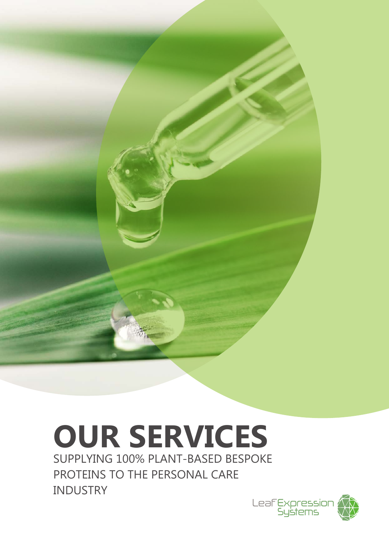

# **OUR SERVICES**

SUPPLYING 100% PLANT-BASED BESPOKE PROTEINS TO THE PERSONAL CARE INDUSTRY

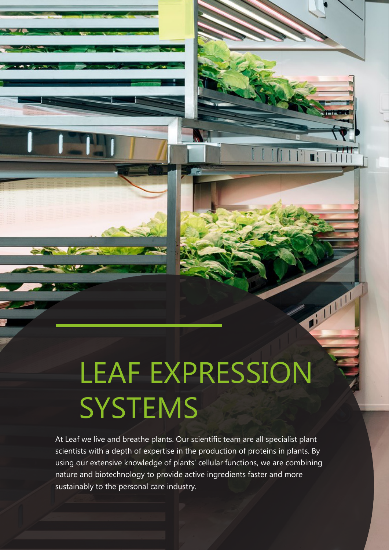### LEAF EXPRESSION **SYSTEMS**

 $\mathbf{E}$ 

or man

At Leaf we live and breathe plants. Our scientific team are all specialist plant scientists with a depth of expertise in the production of proteins in plants. By using our extensive knowledge of plants' cellular functions, we are combining nature and biotechnology to provide active ingredients faster and more sustainably to the personal care industry.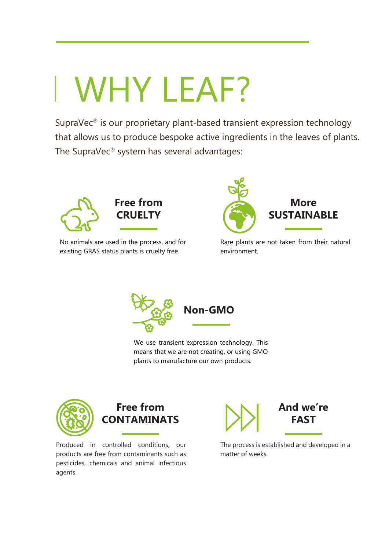## WHY LEAF?

SupraVec® is our proprietary plant-based transient expression technology that allows us to produce bespoke active ingredients in the leaves of plants. The SupraVec® system has several advantages:





**Free from** 

No animals are used in the process, and for existing GRAS status plants is cruelty free.



Rare plants are not taken from their natural environment.



We use transient expression technology. This means that we are not creating, or using GMO plants to manufacture our own products.





Produced in controlled conditions, our products are free from contaminants such as pesticides, chemicals and animal infectious agents.



The process is established and developed in a matter of weeks.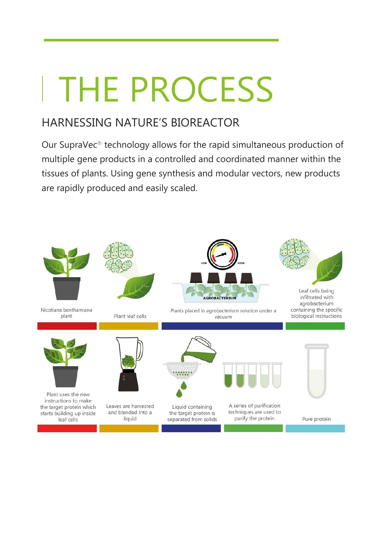## THE PROCESS

### HARNESSING NATURE'S BIOREACTOR

Our SupraVec® technology allows for the rapid simultaneous production of multiple gene products in a controlled and coordinated manner within the tissues of plants. Using gene synthesis and modular vectors, new products are rapidly produced and easily scaled.

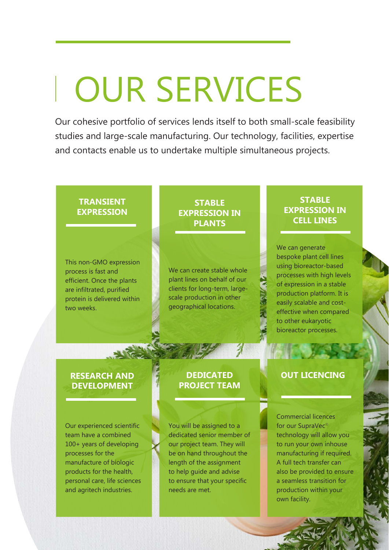### OUR SERVICES

Our cohesive portfolio of services lends itself to both small-scale feasibility studies and large-scale manufacturing. Our technology, facilities, expertise and contacts enable us to undertake multiple simultaneous projects.

#### **TRANSIENT EXPRESSION**

This non-GMO expression process is fast and efficient. Once the plants are infiltrated, purified protein is delivered within two weeks.

#### **STABLE EXPRESSION IN PLANTS**

We can create stable whole plant lines on behalf of our clients for long-term, largescale production in other geographical locations.

#### **STABLE EXPRESSION IN CELL LINES**

We can generate bespoke plant cell lines using bioreactor-based processes with high levels of expression in a stable production platform. It is easily scalable and costeffective when compared to other eukaryotic bioreactor processes.

#### **RESEARCH AND DEVELOPMENT**

Our experienced scientific team have a combined 100+ years of developing processes for the manufacture of biologic products for the health, personal care, life sciences and agritech industries.

#### **DEDICATED PROJECT TEAM**

You will be assigned to a dedicated senior member of our project team. They will be on hand throughout the length of the assignment to help guide and advise to ensure that your specific needs are met.

#### **OUT LICENCING**

Commercial licences for our SupraVec® technology will allow you to run your own inhouse manufacturing if required. A full tech transfer can also be provided to ensure a seamless transition for production within your own facility.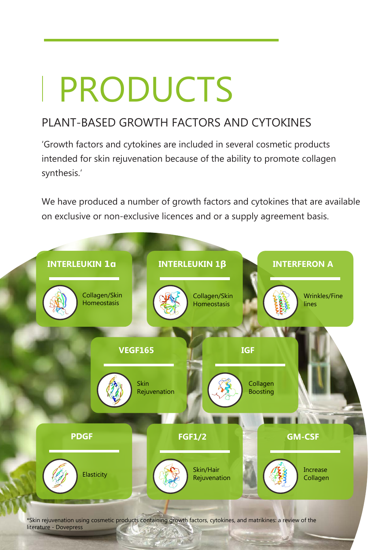# PRODUCTS

### PLANT-BASED GROWTH FACTORS AND CYTOKINES

'Growth factors and cytokines are included in several cosmetic products intended for skin rejuvenation because of the ability to promote collagen synthesis.'

We have produced a number of growth factors and cytokines that are available on exclusive or non-exclusive licences and or a supply agreement basis.